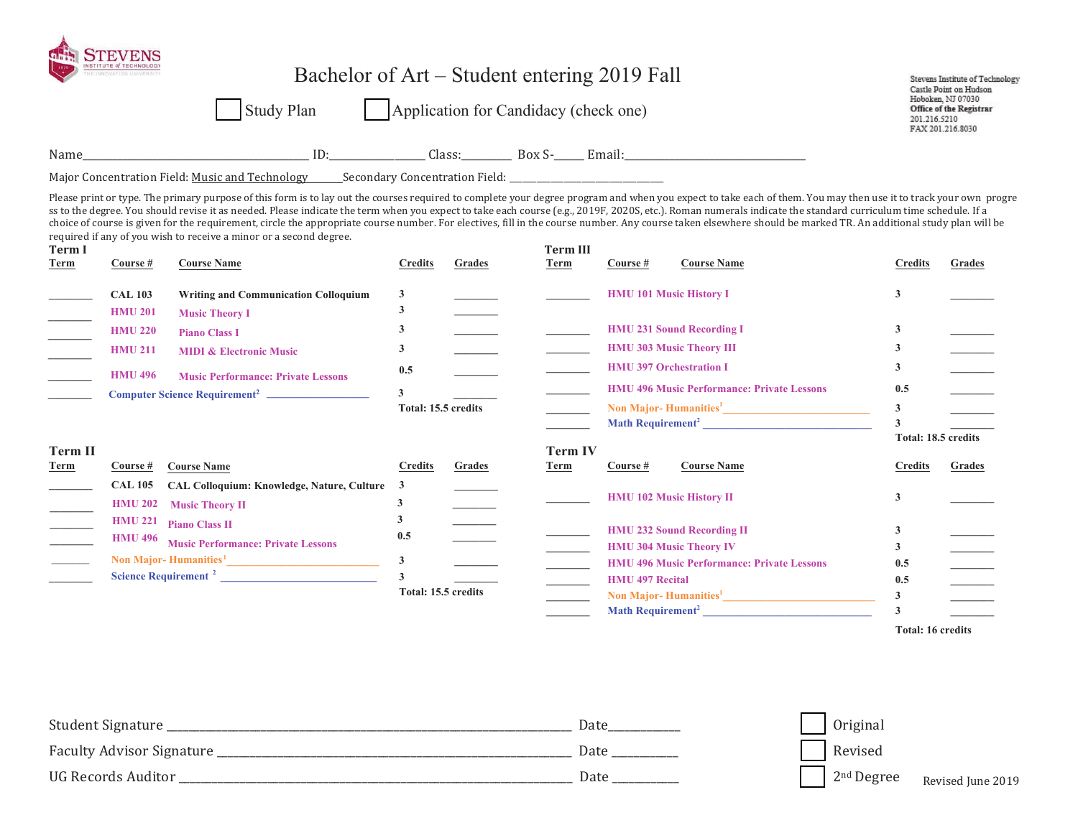|                                  | NSTITUTE of TECHNOLOGY<br>Bachelor of Art – Student entering 2019 Fall<br>Study Plan<br>Application for Candidacy (check one) |                                                                                                                                                                                                                                                                                                                                                                                                                                                                                                                                                                                                                                                                                                                                                   |                         |        |                          |                        |                                                   |                         | Stevens Institute of Technology<br>Castle Point on Hudson<br>Hoboken, NJ 07030<br><b>Office of the Registrar</b><br>201.216.5210<br>FAX 201.216.8030 |
|----------------------------------|-------------------------------------------------------------------------------------------------------------------------------|---------------------------------------------------------------------------------------------------------------------------------------------------------------------------------------------------------------------------------------------------------------------------------------------------------------------------------------------------------------------------------------------------------------------------------------------------------------------------------------------------------------------------------------------------------------------------------------------------------------------------------------------------------------------------------------------------------------------------------------------------|-------------------------|--------|--------------------------|------------------------|---------------------------------------------------|-------------------------|------------------------------------------------------------------------------------------------------------------------------------------------------|
|                                  |                                                                                                                               |                                                                                                                                                                                                                                                                                                                                                                                                                                                                                                                                                                                                                                                                                                                                                   |                         |        |                          |                        |                                                   |                         |                                                                                                                                                      |
|                                  |                                                                                                                               | Major Concentration Field: Music and Technology Secondary Concentration Field: _______________________________                                                                                                                                                                                                                                                                                                                                                                                                                                                                                                                                                                                                                                    |                         |        |                          |                        |                                                   |                         |                                                                                                                                                      |
| <b>Term I</b><br>Term            | Course #                                                                                                                      | Please print or type. The primary purpose of this form is to lay out the courses required to complete your degree program and when you expect to take each of them. You may then use it to track your own progre<br>ss to the degree. You should revise it as needed. Please indicate the term when you expect to take each course (e.g., 2019F, 2020S, etc.). Roman numerals indicate the standard curriculum time schedule. If a<br>choice of course is given for the requirement, circle the appropriate course number. For electives, fill in the course number. Any course taken elsewhere should be marked TR. An additional study plan will be<br>required if any of you wish to receive a minor or a second degree.<br><b>Course Name</b> | <b>Credits</b>          | Grades | <b>Term III</b><br>Term  | Course #               | <b>Course Name</b>                                | <b>Credits</b>          | Grades                                                                                                                                               |
|                                  | <b>CAL 103</b>                                                                                                                | <b>Writing and Communication Colloquium</b>                                                                                                                                                                                                                                                                                                                                                                                                                                                                                                                                                                                                                                                                                                       | 3                       |        |                          |                        | <b>HMU 101 Music History I</b>                    | 3                       |                                                                                                                                                      |
|                                  | <b>HMU 201</b>                                                                                                                | <b>Music Theory I</b>                                                                                                                                                                                                                                                                                                                                                                                                                                                                                                                                                                                                                                                                                                                             | $\mathbf{3}$            |        |                          |                        |                                                   |                         |                                                                                                                                                      |
|                                  | <b>HMU 220</b>                                                                                                                | <b>Piano Class I</b>                                                                                                                                                                                                                                                                                                                                                                                                                                                                                                                                                                                                                                                                                                                              | 3                       |        |                          |                        | <b>HMU 231 Sound Recording I</b>                  | 3                       |                                                                                                                                                      |
|                                  | <b>HMU 211</b>                                                                                                                | <b>MIDI &amp; Electronic Music</b>                                                                                                                                                                                                                                                                                                                                                                                                                                                                                                                                                                                                                                                                                                                | 3                       |        |                          |                        | <b>HMU 303 Music Theory III</b>                   | 3                       |                                                                                                                                                      |
|                                  | <b>HMU 496</b>                                                                                                                |                                                                                                                                                                                                                                                                                                                                                                                                                                                                                                                                                                                                                                                                                                                                                   | 0.5                     |        |                          |                        | <b>HMU 397 Orchestration I</b>                    | 3                       |                                                                                                                                                      |
|                                  |                                                                                                                               | <b>Music Performance: Private Lessons</b>                                                                                                                                                                                                                                                                                                                                                                                                                                                                                                                                                                                                                                                                                                         | $\overline{\mathbf{3}}$ |        |                          |                        | <b>HMU 496 Music Performance: Private Lessons</b> | 0.5                     |                                                                                                                                                      |
|                                  |                                                                                                                               | Computer Science Requirement <sup>2</sup>                                                                                                                                                                                                                                                                                                                                                                                                                                                                                                                                                                                                                                                                                                         | Total: 15.5 credits     |        |                          |                        |                                                   | $\mathbf{3}$            |                                                                                                                                                      |
|                                  |                                                                                                                               |                                                                                                                                                                                                                                                                                                                                                                                                                                                                                                                                                                                                                                                                                                                                                   |                         |        |                          |                        | Math Requirement <sup>2</sup>                     | $\overline{\mathbf{3}}$ |                                                                                                                                                      |
|                                  |                                                                                                                               |                                                                                                                                                                                                                                                                                                                                                                                                                                                                                                                                                                                                                                                                                                                                                   |                         |        |                          |                        |                                                   |                         | Total: 18.5 credits                                                                                                                                  |
| <b>Term II</b>                   |                                                                                                                               |                                                                                                                                                                                                                                                                                                                                                                                                                                                                                                                                                                                                                                                                                                                                                   |                         |        | <b>Term IV</b>           |                        |                                                   |                         |                                                                                                                                                      |
| Term                             | Course #                                                                                                                      | <b>Course Name</b>                                                                                                                                                                                                                                                                                                                                                                                                                                                                                                                                                                                                                                                                                                                                | <b>Credits</b>          | Grades | Term                     | Course #               | <b>Course Name</b>                                | <b>Credits</b>          | Grades                                                                                                                                               |
|                                  | <b>CAL 105</b>                                                                                                                | <b>CAL Colloquium: Knowledge, Nature, Culture</b>                                                                                                                                                                                                                                                                                                                                                                                                                                                                                                                                                                                                                                                                                                 | $\mathbf{3}$            |        |                          |                        | <b>HMU 102 Music History II</b>                   | 3                       |                                                                                                                                                      |
|                                  |                                                                                                                               | HMU 202 Music Theory II                                                                                                                                                                                                                                                                                                                                                                                                                                                                                                                                                                                                                                                                                                                           | 3                       |        |                          |                        |                                                   |                         |                                                                                                                                                      |
|                                  | <b>HMU 221</b>                                                                                                                | <b>Piano Class II</b>                                                                                                                                                                                                                                                                                                                                                                                                                                                                                                                                                                                                                                                                                                                             | 3                       |        |                          |                        | <b>HMU 232 Sound Recording II</b>                 | 3                       |                                                                                                                                                      |
|                                  | <b>HMU 496</b>                                                                                                                | <b>Music Performance: Private Lessons</b>                                                                                                                                                                                                                                                                                                                                                                                                                                                                                                                                                                                                                                                                                                         | 0.5                     |        | $\sim 10^{10}$ m $^{-1}$ |                        | <b>HMU 304 Music Theory IV</b>                    | $\mathbf{3}$            |                                                                                                                                                      |
| $\frac{1}{\sqrt{1-\frac{1}{2}}}$ |                                                                                                                               | Non Major-Humanities <sup>1</sup>                                                                                                                                                                                                                                                                                                                                                                                                                                                                                                                                                                                                                                                                                                                 | $\mathbf{3}$            |        | $\overline{\phantom{a}}$ |                        | <b>HMU 496 Music Performance: Private Lessons</b> | 0.5                     |                                                                                                                                                      |
|                                  | Science Requirement <sup>2</sup>                                                                                              |                                                                                                                                                                                                                                                                                                                                                                                                                                                                                                                                                                                                                                                                                                                                                   | $\mathbf{3}$            |        |                          | <b>HMU 497 Recital</b> |                                                   | 0.5                     |                                                                                                                                                      |
|                                  |                                                                                                                               |                                                                                                                                                                                                                                                                                                                                                                                                                                                                                                                                                                                                                                                                                                                                                   | Total: 15.5 credits     |        |                          |                        |                                                   | $\overline{\mathbf{3}}$ |                                                                                                                                                      |
|                                  |                                                                                                                               |                                                                                                                                                                                                                                                                                                                                                                                                                                                                                                                                                                                                                                                                                                                                                   |                         |        |                          |                        | Math Requirement <sup>2</sup>                     | $\mathbf{3}$            |                                                                                                                                                      |

| Student Signature         | Date | Original            |
|---------------------------|------|---------------------|
| Faculty Advisor Signature | Date | Revised             |
| UG Records Auditor        | Date | $2nd$ Degree<br>Rey |

vised June 2019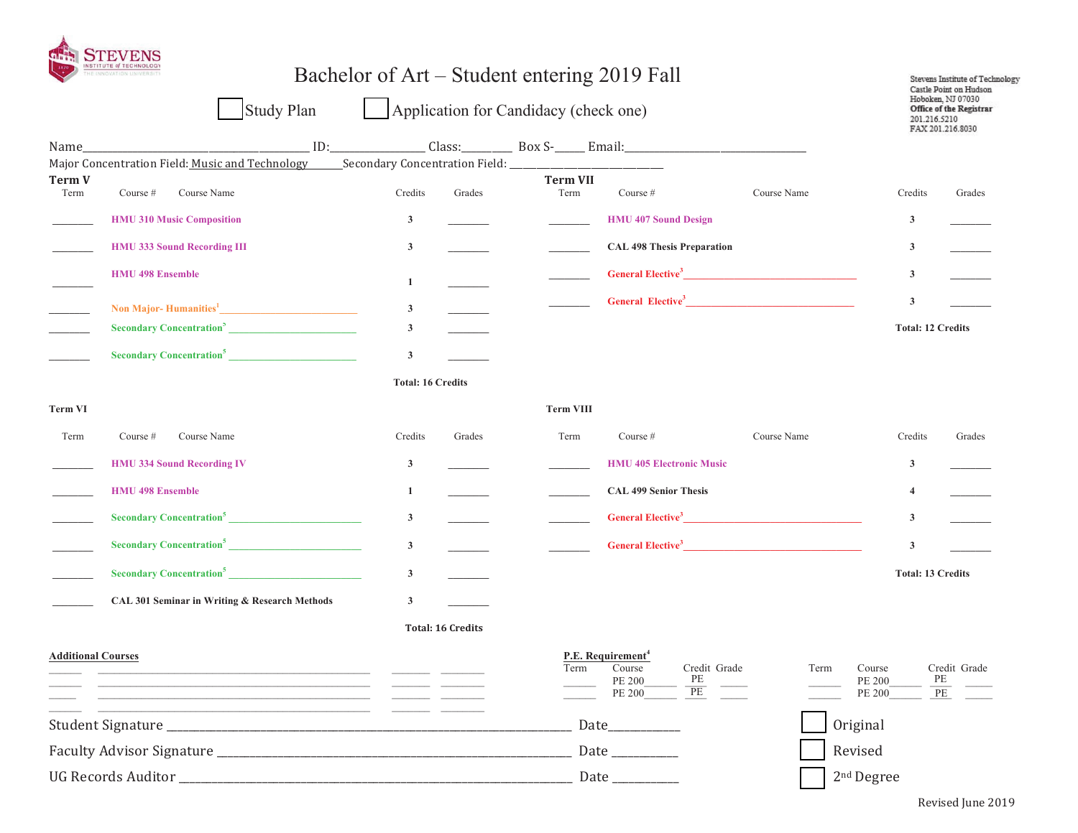

## Bachelor of Art – Student entering 2019 Fall Stevens Institute of Technology Castle Point on Hudson Hoboken, NJ 07030 **Study Plan** Application for Candidacy (check one) Office of the Registrar 201.216.5210 FAX 201.216.8030 <u>1D: ID: Class: Class: Box S-</u> Email: Name Major Concentration Field: Music and Technology Secondary Concentration Field: **Term V Term VII** Term Course # Course Name Credits Grades Term Course  $#$ Course Name Credits Grades  $\overline{3}$ **HMU 407 Sound Design HMU 310 Music Composition**  $\mathbf{3}$ **CAL 498 Thesis Preparation HMU 333 Sound Recording III**  $\mathbf{3}$  $\mathbf{3}$ **HMU 498 Ensemble** General Elective<sup>3</sup>  $\mathbf{3}$  $\mathbf{1}$ General Elective<sup>3</sup>  $\mathbf{3}$ Non Major-Humanities<sup>1</sup>  $\mathbf{3}$ **Secondary Concentration**<sup>5</sup>  $\mathbf{3}$ **Total: 12 Credits Secondary Concentration<sup>5</sup>**  $\mathbf{3}$ **Total: 16 Credits Term VIII Term VI** Credits Term Term Course # Course Name Grades Course # Course Name Credits Grades **HMU 334 Sound Recording IV**  $\mathbf{3}$ **HMU 405 Electronic Music**  $\mathbf{3}$ **HMU 498 Ensemble**  $\mathbf{1}$ **CAL 499 Senior Thesis**  $\overline{4}$ **General Elective**<sup>3</sup> **Secondary Concentration**<sup>5</sup>  $\mathbf{3}$  $\mathbf{3}$ **Secondary Concentration**<sup>5</sup> **General Elective**<sup>3</sup>  $\mathbf{3}$  $\mathbf{3}$ **Secondary Concentration**<sup>5</sup>  $\mathbf{3}$ **Total: 13 Credits** CAL 301 Seminar in Writing & Research Methods  $\overline{\mathbf{3}}$ **Total: 16 Credits Additional Courses** P.E. Requirement<sup>4</sup> Credit Grade Term Course Credit Grade Term Course PE **PE PE 200 PE 200**  $PE$ PE 200 **PE 200** PE <u> 1980 - Andrea Andrew Maria (b. 1980)</u> Original **Date** Revised **UG Records Auditor Date** 2<sup>nd</sup> Degree